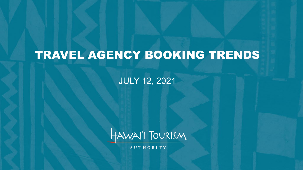# TRAVEL AGENCY BOOKING TRENDS

JULY 12, 2021



**AUTHORITY**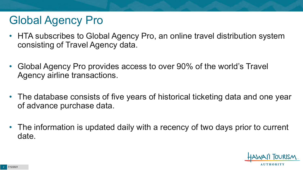# Global Agency Pro

- HTA subscribes to Global Agency Pro, an online travel distribution system consisting of Travel Agency data.
- Global Agency Pro provides access to over 90% of the world's Travel Agency airline transactions.
- The database consists of five years of historical ticketing data and one year of advance purchase data.
- The information is updated daily with a recency of two days prior to current date.

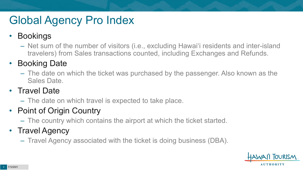# Global Agency Pro Index

#### • Bookings

– Net sum of the number of visitors (i.e., excluding Hawai'i residents and inter-island travelers) from Sales transactions counted, including Exchanges and Refunds.

#### • Booking Date

– The date on which the ticket was purchased by the passenger. Also known as the Sales Date.

#### • Travel Date

– The date on which travel is expected to take place.

#### • Point of Origin Country

– The country which contains the airport at which the ticket started.

#### • Travel Agency

– Travel Agency associated with the ticket is doing business (DBA).

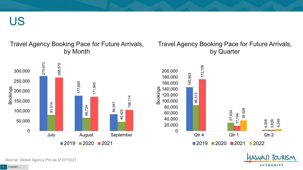US

#### Travel Agency Booking Pace for Future Arrivals, by Month

#### Travel Agency Booking Pace for Future Arrivals, by Quarter

OURISM.

**AUTHORITY** 



Source: Global Agency Pro as of 07/10/21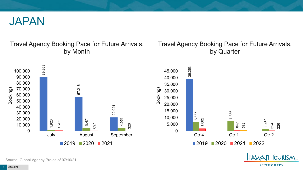

#### Travel Agency Booking Pace for Future Arrivals, by Month

#### Travel Agency Booking Pace for Future Arrivals, by Quarter



Source: Global Agency Pro as of 07/10/21

5 7/12/2021

**AUTHORITY** 

**FOURISM**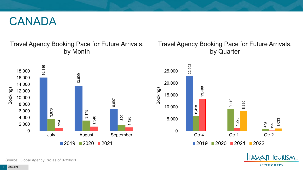#### CANADA

Travel Agency Booking Pace for Future Arrivals, by Month



#### Travel Agency Booking Pace for Future Arrivals, by Quarter



**FOURISM** 

**AUTHORITY** 

Source: Global Agency Pro as of 07/10/21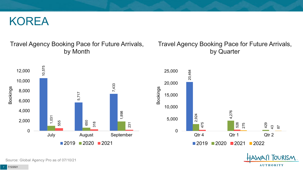#### KOREA

#### Travel Agency Booking Pace for Future Arrivals, by Month

#### Travel Agency Booking Pace for Future Arrivals, by Quarter

OURISM.

**AUTHORITY** 



Source: Global Agency Pro as of 07/10/21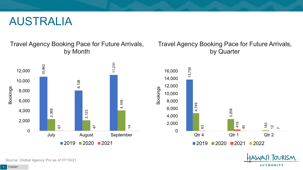#### AUSTRALIA

Travel Agency Booking Pace for Future Arrivals, by Month



#### Travel Agency Booking Pace for Future Arrivals, by Quarter



OURISM.

**AUTHORITY** 

Source: Global Agency Pro as of 07/10/21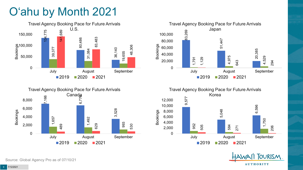# O'ahu by Month 2021









TOURISM. **AUTHORITY** 

Source: Global Agency Pro as of 07/10/21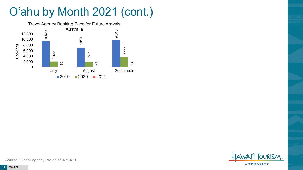# O'ahu by Month 2021 (cont.)



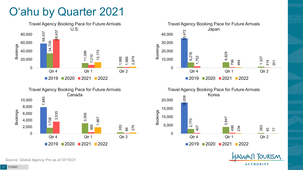### O'ahu by Quarter 2021









**TOURISM** 

**AUTHORITY** 

Source: Global Agency Pro as of 07/10/21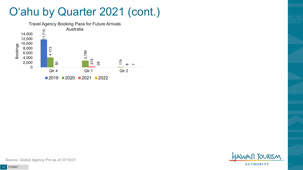### O'ahu by Quarter 2021 (cont.)



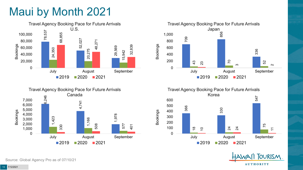# Maui by Month 2021











Source: Global Agency Pro as of 07/10/21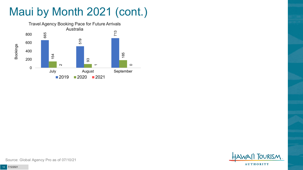# Maui by Month 2021 (cont.)



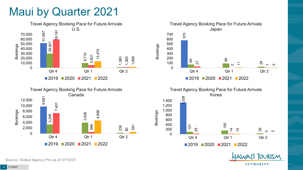### Maui by Quarter 2021









**TOURISM** 

**AUTHORITY** 

Source: Global Agency Pro as of 07/10/21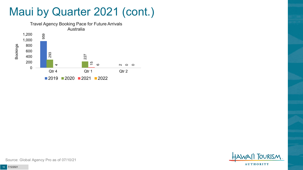### Maui by Quarter 2021 (cont.)



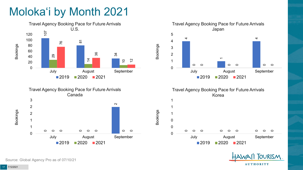# Moloka'i by Month 2021









Bookings



**FOURISM AUTHORITY** 

Source: Global Agency Pro as of 07/10/21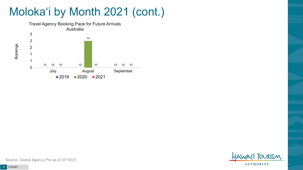# Moloka'i by Month 2021 (cont.)



**TOURISM AUTHORITY** 

Source: Global Agency Pro as of 07/10/21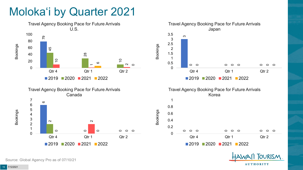## Moloka'i by Quarter 2021







2020 2021 2022



Source: Global Agency Pro as of 07/10/21

Bookings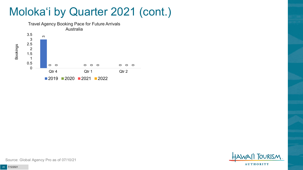### Moloka'i by Quarter 2021 (cont.)





Source: Global Agency Pro as of 07/10/21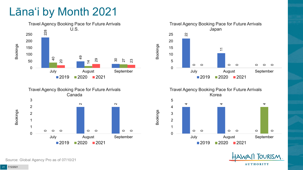# Lāna'i by Month 2021







Travel Agency Booking Pace for Future Arrivals Korea

Bookings





Source: Global Agency Pro as of 07/10/21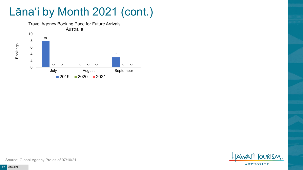# Lāna'i by Month 2021 (cont.)



**FOURISM AUTHORITY** 

Source: Global Agency Pro as of 07/10/21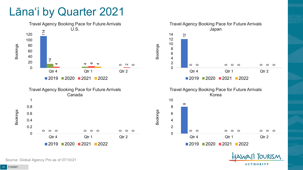#### Lāna'i by Quarter 2021



Source: Global Agency Pro as of 07/10/21

**AUTHORITY** 

**OURISM**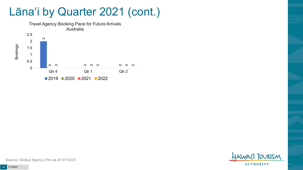### Lāna'i by Quarter 2021 (cont.)





Source: Global Agency Pro as of 07/10/21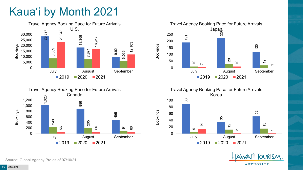# Kaua'i by Month 2021





Travel Agency Booking Pace for Future Arrivals



Travel Agency Booking Pace for Future Arrivals Korea



Bookings



Source: Global Agency Pro as of 07/10/21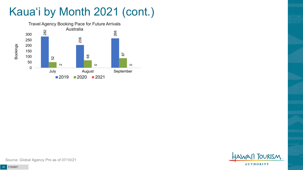# Kaua'i by Month 2021 (cont.)



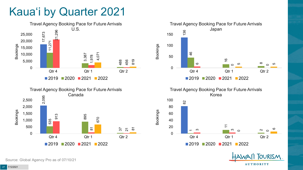### Kaua'i by Quarter 2021









Bookings



**FOURISM** 

**AUTHORITY** 

Source: Global Agency Pro as of 07/10/21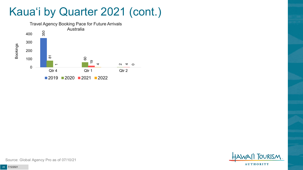### Kaua'i by Quarter 2021 (cont.)



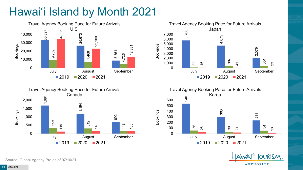# Hawai'i Island by Month 2021











Source: Global Agency Pro as of 07/10/21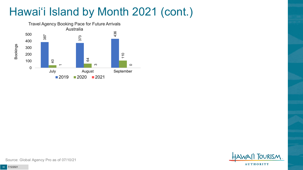# Hawai'i Island by Month 2021 (cont.)



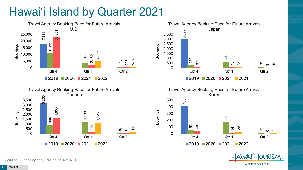# Hawai'i Island by Quarter 2021









**FOURISM** 

**AUTHORITY** 

Source: Global Agency Pro as of 07/10/21